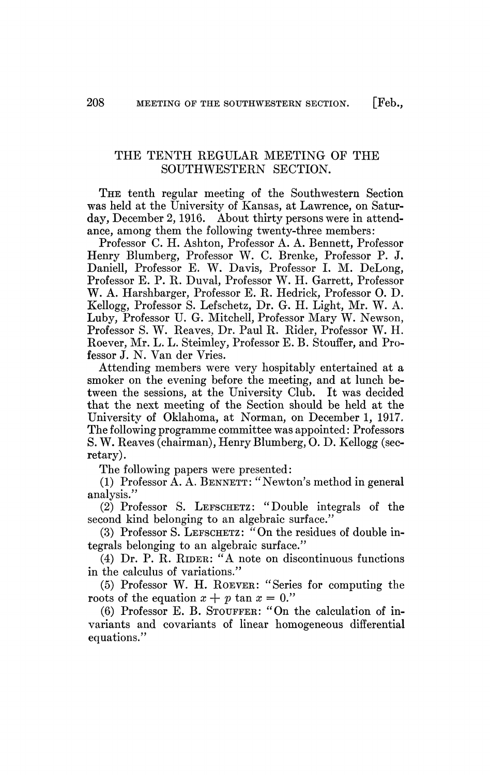THE TENTH REGULAR MEETING OF THE SOUTHWESTERN SECTION.

THE tenth regular meeting of the Southwestern Section was held at the University of Kansas, at Lawrence, on Saturday, December 2,1916. About thirty persons were in attendance, among them the following twenty-three members:

Professor C. H. Ashton, Professor A. A. Bennett, Professor Henry Blumberg, Professor W. C. Brenke, Professor P. J. Daniell, Professor E. W. Davis, Professor L M. DeLong, Professor E. P. R. Duval, Professor W. H. Garrett, Professor W. A. Harshbarger, Professor E. R. Hedrick, Professor O. D. Kellogg, Professor S. Lefschetz, Dr. G. H. Light, Mr. W. A. Luby, Professor U. G. Mitchell, Professor Mary W. Newson, Professor S. W. Reaves, Dr. Paul R. Rider, Professor W. H. Roever, Mr. L. L. Steimley, Professor E. B. Stouffer, and Professor J. N. Van der Vries.

Attending members were very hospitably entertained at a smoker on the evening before the meeting, and at lunch between the sessions, at the University Club. It was decided that the next meeting of the Section should be held at the University of Oklahoma, at Norman, on December 1, 1917. The following programme committee was appointed: Professors S. W. Reaves (chairman), Henry Blumberg, O. D. Kellogg (secretary).

The following papers were presented:

(1) Professor A. A. BENNETT: "Newton's method in general analysis/'

(2) Professor S. LEFSCHETZ: "Double integrals of the second kind belonging to an algebraic surface."

(3) Professor S. LEFSCHETZ: "On the residues of double integrals belonging to an algebraic surface."

(4) Dr. P. R. RIDER: "A note on discontinuous functions in the calculus of variations."

(5) Professor W. H. ROEVER: "Series for computing the roots of the equation  $x + p \tan x = 0$ ."

(6) Professor E. B. STOUFFER: "On the calculation of invariants and covariants of linear homogeneous differential equations."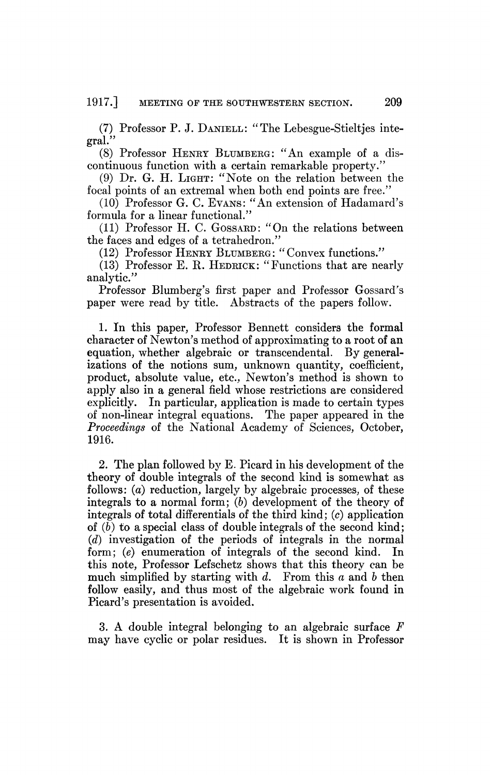(7) Professor P. J. DANIELL: "The Lebesgue-Stieltjes integral."

(8) Professor HENRY BLUMBERG: "An example of a discontinuous function with a certain remarkable property.'

(9) Dr. G. H. LIGHT: "Note on the relation between the focal points of an extremal when both end points are free."

(10) Professor G. C. EVANS: "An extension of Hadamard's formula for a linear functional."

(11) Professor H. C. GOSSARD: "On the relations between the faces and edges of a tetrahedron."

(12) Professor HENRY BLUMBERG: "Convex functions."

(13) Professor E. R. HEDRICK: "Functions that are nearly analytic."

Professor Blumberg's first paper and Professor Gossard's paper were read by title. Abstracts of the papers follow.

1. In this paper, Professor Bennett considers the formal character of Newton's method of approximating to a root of an equation, whether algebraic or transcendental. By generalizations of the notions sum, unknown quantity, coefficient, product, absolute value, etc., Newton's method is shown to apply also in a general field whose restrictions are considered explicitly. In particular, application is made to certain types of non-linear integral equations. The paper appeared in the *Proceedings* of the National Academy of Sciences, October, 1916.

2. The plan followed by E. Picard in his development of the theory of double integrals of the second kind is somewhat as follows: (a) reduction, largely by algebraic processes, of these integrals to a normal form; *(b)* development of the theory of integrals of total differentials of the third  $\text{kind}$ ;  $(c)$  application of *(b)* to a special class of double integrals of the second kind; *(d)* investigation of the periods of integrals in the normal form; *(e)* enumeration of integrals of the second kind. In this note, Professor Lefschetz shows that this theory can be much simplified by starting with *d.* From this *a* and *b* then follow easily, and thus most of the algebraic work found in Picard's presentation is avoided.

3. A double integral belonging to an algebraic surface *F*  may have cyclic or polar residues. It is shown in Professor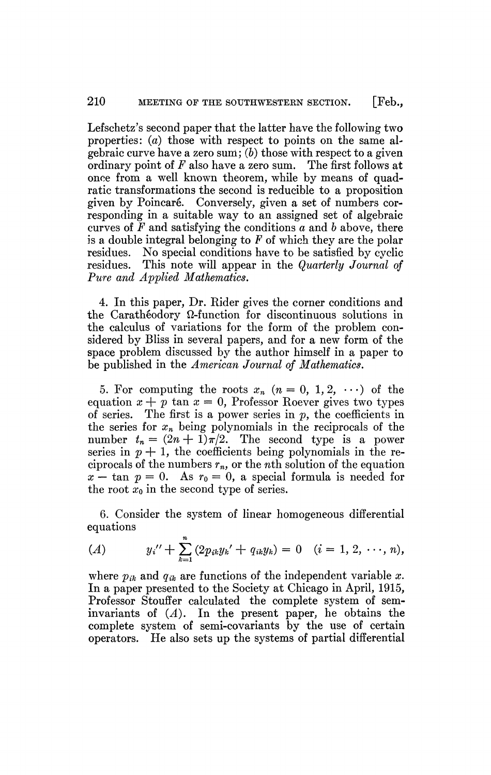Lefschetz's second paper that the latter have the following two properties: *(a)* those with respect to points on the same algebraic curve have a zero sum; *(b)* those with respect to a given ordinary point of *F* also have a zero sum. The first follows at once from a well known theorem, while by means of quadratic transformations the second is reducible to a proposition given by Poincaré. Conversely, given a set of numbers corresponding in a suitable way to an assigned set of algebraic curves of *F* and satisfying the conditions *a* and *b* above, there is a double integral belonging to *F* of which they are the polar residues. No special conditions have to be satisfied by cyclic residues. This note will appear in the *Quarterly Journal of Pure and Applied Mathematics.* 

4. In this paper, Dr. Rider gives the corner conditions and the Carathéodory  $\Omega$ -function for discontinuous solutions in the calculus of variations for the form of the problem considered by Bliss in several papers, and for a new form of the space problem discussed by the author himself in a paper to be published in the *American Journal of Mathematics.* 

5. For computing the roots  $x_n$   $(n = 0, 1, 2, \cdots)$  of the equation  $x + p \tan x = 0$ , Professor Roever gives two types of series. The first is a power series in *p,* the coefficients in the series for *xn* being polynomials in the reciprocals of the number  $t_n = (2n + 1)\pi/2$ . The second type is a power series in  $p + 1$ , the coefficients being polynomials in the reciprocals of the numbers *rn,* or the *nth* solution of the equation  $x - \tan p = 0$ . As  $r_0 = 0$ , a special formula is needed for the root  $x_0$  in the second type of series.

6. Consider the system of linear homogeneous differential equations

(A) 
$$
y_i'' + \sum_{k=1}^n (2p_{ik}y_k' + q_{ik}y_k) = 0 \quad (i = 1, 2, \dots, n),
$$

where  $p_{ik}$  and  $q_{ik}$  are functions of the independent variable x. In a paper presented to the Society at Chicago in April, 1915, Professor Stouffer calculated the complete system of seminvariants of *(A).* In the present paper, he obtains the complete system of semi-covariants by the use of certain operators. He also sets up the systems of partial differential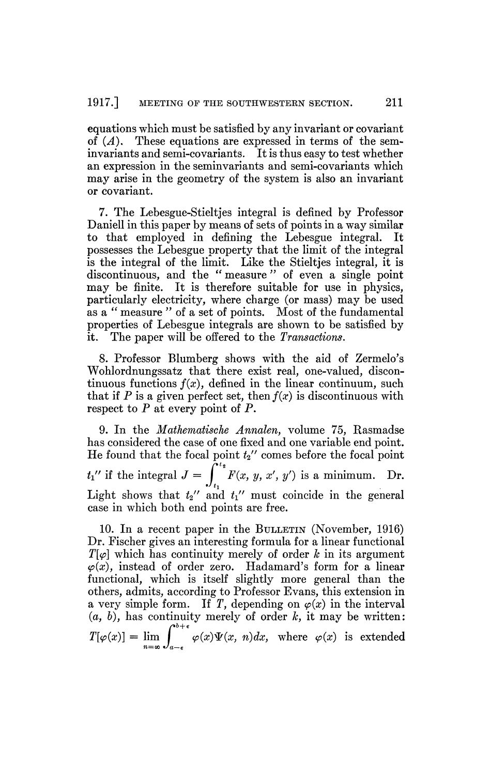equations which must be satisfied by any invariant or covariant of *(A).* These equations are expressed in terms of the seminvariants and semi-covariants. It is thus easy to test whether an expression in the seminvariants and semi-covariants which may arise in the geometry of the system is also an invariant or covariant.

7. The Lebesgue-Stieltjes integral is defined by Professor Daniell in this paper by means of sets of points in a way similar to that employed in defining the Lebesgue integral. It possesses the Lebesgue property that the limit of the integral is the integral of the limit. Like the Stieltjes integral, it is discontinuous, and the "measure" of even a single point may be finite. It is therefore suitable for use in physics, particularly electricity, where charge (or mass) may be used as a " measure " of a set of points. Most of the fundamental properties of Lebesgue integrals are shown to be satisfied by it. The paper will be offered to the *Transactions.* 

8. Professor Blumberg shows with the aid of Zermelo's Wohlordnungssatz that there exist real, one-valued, discontinuous functions  $f(x)$ , defined in the linear continuum, such that if P is a given perfect set, then  $f(x)$  is discontinuous with respect to *P* at every point of P.

9. In the *Mathematische Annalen,* volume 75, Rasmadse has considered the case of one fixed and one variable end point. He found that the focal point  $t_2$ <sup>"</sup> comes before the focal point  $t_1$ " if the integral  $J = \int f(x, y, x', y')$  is a minimum. Dr. Light shows that  $t_2$ <sup>*f*</sup> and  $t_1$ <sup>*f'*</sup> must coincide in the general case in which both end points are free.

10. In a recent paper in the BULLETIN (November, 1916) Dr. Fischer gives an interesting formula for a linear functional  $T[\varphi]$  which has continuity merely of order k in its argument  $\varphi(x)$ , instead of order zero. Hadamard's form for a linear functional, which is itself slightly more general than the others, admits, according to Professor Evans, this extension in a very simple form. If T, depending on  $\varphi(x)$  in the interval *(a, b),* has continuity merely of order *k,* it may be written:  $\varphi(x)\Psi(x, n)dx$ , where  $\varphi(x)$  is extended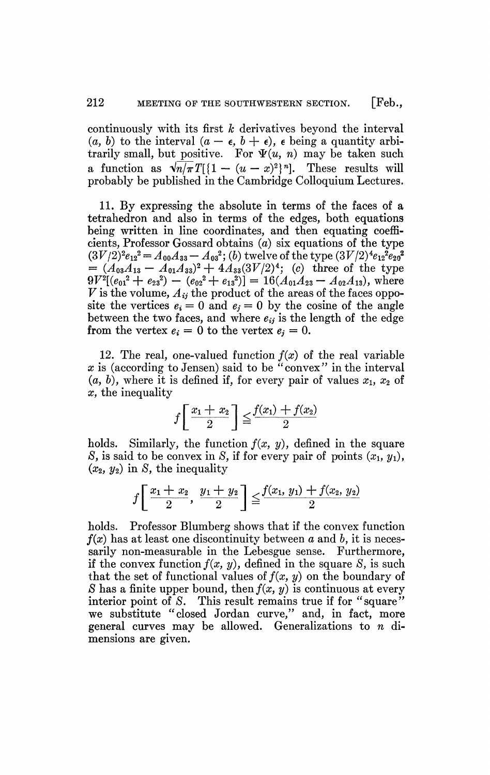continuously with its first *k* derivatives beyond the interval (a, b) to the interval  $(a - \epsilon, b + \epsilon)$ ,  $\epsilon$  being a quantity arbitrarily small, but positive. For  $\Psi(u, n)$  may be taken such a function as  $\sqrt{n/\pi}T[\{1-(u-x)^2\}^n]$ . These results will probably be published in the Cambridge Colloquium Lectures.

11. By expressing the absolute in terms of the faces of a tetrahedron and also in terms of the edges, both equations being written in line coordinates, and then equating coefficients, Professor Gossard obtains (a) six equations of the type  $(3V/2)^2 e_{12}{}^2 = A_{00}A_{33} - A_{03}{}^2;$  (b) twelve of the type  $(3V/2)^4 e_{12}{}^2 e_{20}{}^2$  $= (A_{03}A_{13} - A_{01}A_{33})^2 + 4A_{33}(3V/2)^4$ ; (c) three of the type  $9V^2[(e_{01}^2 + e_{23}^2) - (e_{02}^2 + e_{13}^2)] = 16(A_{01}A_{23} - A_{02}A_{13}),$  where  $V$  is the volume,  $A_{ij}$  the product of the areas of the faces opposite the vertices  $e_i = 0$  and  $e_j = 0$  by the cosine of the angle between the two faces, and where  $e_{ij}$  is the length of the edge from the vertex  $e_i = 0$  to the vertex  $e_j = 0$ .

12. The real, one-valued function  $f(x)$  of the real variable x is (according to Jensen) said to be "convex" in the interval (a, *b),* where it is defined if, for every pair of values *Xi, x2* of *x,* the inequality

$$
f\left[\frac{x_1+x_2}{2}\right] \leq \frac{f(x_1)+f(x_2)}{2}
$$

holds. Similarly, the function  $f(x, y)$ , defined in the square *S*, is said to be convex in *S*, if for every pair of points  $(x_1, y_1)$ ,  $(x_2, y_2)$  in *S*, the inequality

$$
f\left[\frac{x_1+x_2}{2},\ \frac{y_1+y_2}{2}\right] \leq \frac{f(x_1,\ y_1)+f(x_2,\ y_2)}{2}
$$

holds. Professor Blumberg shows that if the convex function  $f(x)$  has at least one discontinuity between  $a$  and  $b$ , it is necessarily non-measurable in the Lebesgue sense. Furthermore, if the convex function  $f(x, y)$ , defined in the square *S*, is such that the set of functional values of  $f(x, y)$  on the boundary of *8* has a finite upper bound, then  $f(x, y)$  is continuous at every interior point of S. This result remains true if for "square" we substitute "closed Jordan curve," and, in fact, more general curves may be allowed. Generalizations to *n* dimensions are given.